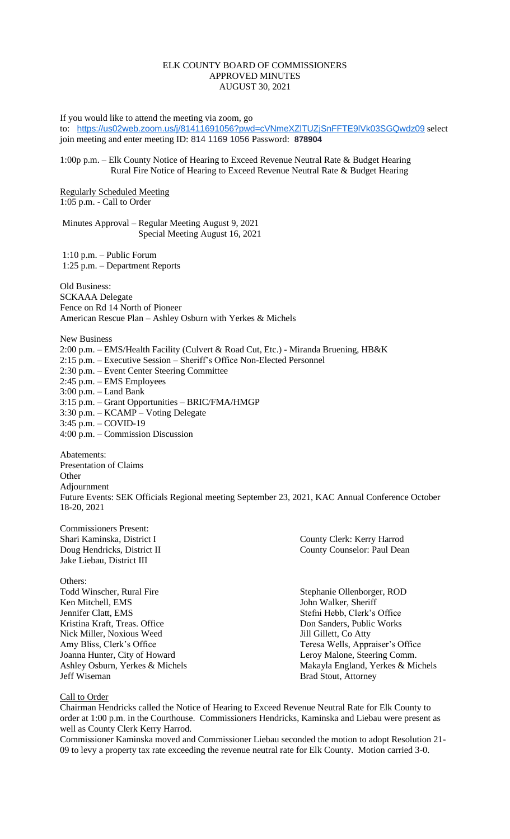## ELK COUNTY BOARD OF COMMISSIONERS APPROVED MINUTES AUGUST 30, 2021

If you would like to attend the meeting via zoom, go

to: <https://us02web.zoom.us/j/81411691056?pwd=cVNmeXZlTUZjSnFFTE9lVk03SGQwdz09> select join meeting and enter meeting ID: 814 1169 1056 Password: **878904**

### 1:00p p.m. – Elk County Notice of Hearing to Exceed Revenue Neutral Rate & Budget Hearing Rural Fire Notice of Hearing to Exceed Revenue Neutral Rate & Budget Hearing

Regularly Scheduled Meeting 1:05 p.m. - Call to Order

Minutes Approval – Regular Meeting August 9, 2021 Special Meeting August 16, 2021

1:10 p.m. – Public Forum 1:25 p.m. – Department Reports

Old Business: SCKAAA Delegate Fence on Rd 14 North of Pioneer American Rescue Plan – Ashley Osburn with Yerkes & Michels

New Business 2:00 p.m. – EMS/Health Facility (Culvert & Road Cut, Etc.) - Miranda Bruening, HB&K 2:15 p.m. – Executive Session – Sheriff's Office Non-Elected Personnel 2:30 p.m. – Event Center Steering Committee 2:45 p.m. – EMS Employees 3:00 p.m. – Land Bank 3:15 p.m. – Grant Opportunities – BRIC/FMA/HMGP  $3:30 \text{ p.m.} - \text{KCAMP} - \text{Voting Delegate}$ 3:45 p.m. – COVID-19

4:00 p.m. – Commission Discussion

Abatements: Presentation of Claims **Other** Adjournment Future Events: SEK Officials Regional meeting September 23, 2021, KAC Annual Conference October 18-20, 2021

Commissioners Present: Jake Liebau, District III

Others:<br>Todd Winscher, Rural Fire Ken Mitchell, EMS John Walker, Sheriff Jennifer Clatt, EMS Stefni Hebb, Clerk's Office Kristina Kraft, Treas. Office **Don Sanders, Public Works** Nick Miller, Noxious Weed Jill Gillett, Co Atty Amy Bliss, Clerk's Office Teresa Wells, Appraiser's Office Joanna Hunter, City of Howard Leroy Malone, Steering Comm. **Jeff Wiseman** Brad Stout, Attorney

Shari Kaminska, District I County Clerk: Kerry Harrod Doug Hendricks, District II County Counselor: Paul Dean

Stephanie Ollenborger, ROD Ashley Osburn, Yerkes & Michels Makayla England, Yerkes & Michels

Call to Order

Chairman Hendricks called the Notice of Hearing to Exceed Revenue Neutral Rate for Elk County to order at 1:00 p.m. in the Courthouse. Commissioners Hendricks, Kaminska and Liebau were present as well as County Clerk Kerry Harrod.

Commissioner Kaminska moved and Commissioner Liebau seconded the motion to adopt Resolution 21- 09 to levy a property tax rate exceeding the revenue neutral rate for Elk County. Motion carried 3-0.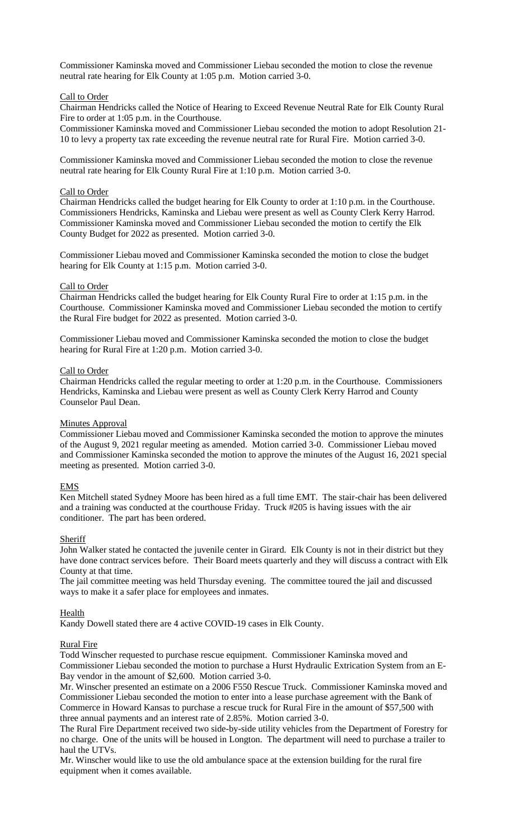Commissioner Kaminska moved and Commissioner Liebau seconded the motion to close the revenue neutral rate hearing for Elk County at 1:05 p.m. Motion carried 3-0.

#### Call to Order

Chairman Hendricks called the Notice of Hearing to Exceed Revenue Neutral Rate for Elk County Rural Fire to order at 1:05 p.m. in the Courthouse.

Commissioner Kaminska moved and Commissioner Liebau seconded the motion to adopt Resolution 21- 10 to levy a property tax rate exceeding the revenue neutral rate for Rural Fire. Motion carried 3-0.

Commissioner Kaminska moved and Commissioner Liebau seconded the motion to close the revenue neutral rate hearing for Elk County Rural Fire at 1:10 p.m. Motion carried 3-0.

#### Call to Order

Chairman Hendricks called the budget hearing for Elk County to order at 1:10 p.m. in the Courthouse. Commissioners Hendricks, Kaminska and Liebau were present as well as County Clerk Kerry Harrod. Commissioner Kaminska moved and Commissioner Liebau seconded the motion to certify the Elk County Budget for 2022 as presented. Motion carried 3-0.

Commissioner Liebau moved and Commissioner Kaminska seconded the motion to close the budget hearing for Elk County at 1:15 p.m. Motion carried 3-0.

#### Call to Order

Chairman Hendricks called the budget hearing for Elk County Rural Fire to order at 1:15 p.m. in the Courthouse. Commissioner Kaminska moved and Commissioner Liebau seconded the motion to certify the Rural Fire budget for 2022 as presented. Motion carried 3-0.

Commissioner Liebau moved and Commissioner Kaminska seconded the motion to close the budget hearing for Rural Fire at 1:20 p.m. Motion carried 3-0.

#### Call to Order

Chairman Hendricks called the regular meeting to order at 1:20 p.m. in the Courthouse. Commissioners Hendricks, Kaminska and Liebau were present as well as County Clerk Kerry Harrod and County Counselor Paul Dean.

#### **Minutes Approval**

Commissioner Liebau moved and Commissioner Kaminska seconded the motion to approve the minutes of the August 9, 2021 regular meeting as amended. Motion carried 3-0. Commissioner Liebau moved and Commissioner Kaminska seconded the motion to approve the minutes of the August 16, 2021 special meeting as presented. Motion carried 3-0.

#### **EMS**

Ken Mitchell stated Sydney Moore has been hired as a full time EMT. The stair-chair has been delivered and a training was conducted at the courthouse Friday. Truck #205 is having issues with the air conditioner. The part has been ordered.

#### **Sheriff**

John Walker stated he contacted the juvenile center in Girard. Elk County is not in their district but they have done contract services before. Their Board meets quarterly and they will discuss a contract with Elk County at that time.

The jail committee meeting was held Thursday evening. The committee toured the jail and discussed ways to make it a safer place for employees and inmates.

#### **Health**

Kandy Dowell stated there are 4 active COVID-19 cases in Elk County.

#### Rural Fire

Todd Winscher requested to purchase rescue equipment. Commissioner Kaminska moved and Commissioner Liebau seconded the motion to purchase a Hurst Hydraulic Extrication System from an E-Bay vendor in the amount of \$2,600. Motion carried 3-0.

Mr. Winscher presented an estimate on a 2006 F550 Rescue Truck. Commissioner Kaminska moved and Commissioner Liebau seconded the motion to enter into a lease purchase agreement with the Bank of Commerce in Howard Kansas to purchase a rescue truck for Rural Fire in the amount of \$57,500 with three annual payments and an interest rate of 2.85%. Motion carried 3-0.

The Rural Fire Department received two side-by-side utility vehicles from the Department of Forestry for no charge. One of the units will be housed in Longton. The department will need to purchase a trailer to haul the UTVs.

Mr. Winscher would like to use the old ambulance space at the extension building for the rural fire equipment when it comes available.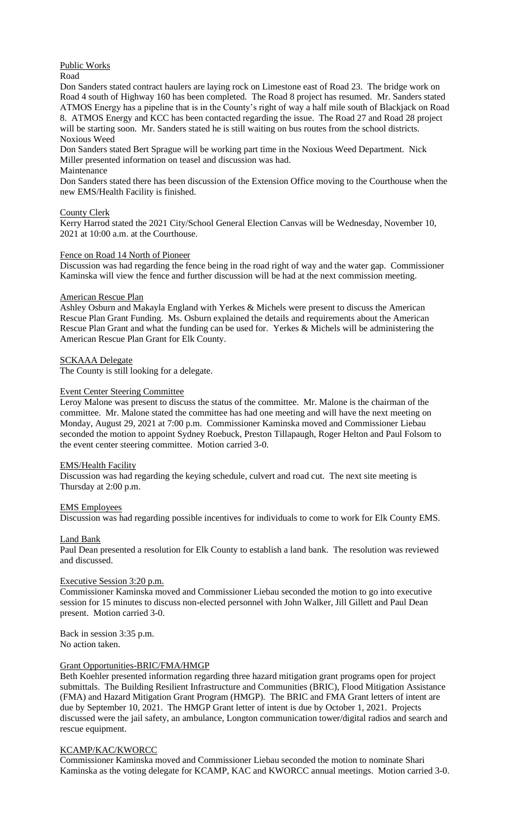# Public Works

Road

Don Sanders stated contract haulers are laying rock on Limestone east of Road 23. The bridge work on Road 4 south of Highway 160 has been completed. The Road 8 project has resumed. Mr. Sanders stated ATMOS Energy has a pipeline that is in the County's right of way a half mile south of Blackjack on Road 8. ATMOS Energy and KCC has been contacted regarding the issue. The Road 27 and Road 28 project will be starting soon. Mr. Sanders stated he is still waiting on bus routes from the school districts. Noxious Weed

Don Sanders stated Bert Sprague will be working part time in the Noxious Weed Department. Nick Miller presented information on teasel and discussion was had.

## Maintenance

Don Sanders stated there has been discussion of the Extension Office moving to the Courthouse when the new EMS/Health Facility is finished.

## County Clerk

Kerry Harrod stated the 2021 City/School General Election Canvas will be Wednesday, November 10, 2021 at 10:00 a.m. at the Courthouse.

## Fence on Road 14 North of Pioneer

Discussion was had regarding the fence being in the road right of way and the water gap. Commissioner Kaminska will view the fence and further discussion will be had at the next commission meeting.

## American Rescue Plan

Ashley Osburn and Makayla England with Yerkes & Michels were present to discuss the American Rescue Plan Grant Funding. Ms. Osburn explained the details and requirements about the American Rescue Plan Grant and what the funding can be used for. Yerkes & Michels will be administering the American Rescue Plan Grant for Elk County.

## SCKAAA Delegate

The County is still looking for a delegate.

#### Event Center Steering Committee

Leroy Malone was present to discuss the status of the committee. Mr. Malone is the chairman of the committee. Mr. Malone stated the committee has had one meeting and will have the next meeting on Monday, August 29, 2021 at 7:00 p.m. Commissioner Kaminska moved and Commissioner Liebau seconded the motion to appoint Sydney Roebuck, Preston Tillapaugh, Roger Helton and Paul Folsom to the event center steering committee. Motion carried 3-0.

## EMS/Health Facility

Discussion was had regarding the keying schedule, culvert and road cut. The next site meeting is Thursday at 2:00 p.m.

## EMS Employees

Discussion was had regarding possible incentives for individuals to come to work for Elk County EMS.

## Land Bank

Paul Dean presented a resolution for Elk County to establish a land bank. The resolution was reviewed and discussed.

#### Executive Session 3:20 p.m.

Commissioner Kaminska moved and Commissioner Liebau seconded the motion to go into executive session for 15 minutes to discuss non-elected personnel with John Walker, Jill Gillett and Paul Dean present. Motion carried 3-0.

Back in session 3:35 p.m. No action taken.

## Grant Opportunities-BRIC/FMA/HMGP

Beth Koehler presented information regarding three hazard mitigation grant programs open for project submittals. The Building Resilient Infrastructure and Communities (BRIC), Flood Mitigation Assistance (FMA) and Hazard Mitigation Grant Program (HMGP). The BRIC and FMA Grant letters of intent are due by September 10, 2021. The HMGP Grant letter of intent is due by October 1, 2021. Projects discussed were the jail safety, an ambulance, Longton communication tower/digital radios and search and rescue equipment.

#### KCAMP/KAC/KWORCC

Commissioner Kaminska moved and Commissioner Liebau seconded the motion to nominate Shari Kaminska as the voting delegate for KCAMP, KAC and KWORCC annual meetings. Motion carried 3-0.